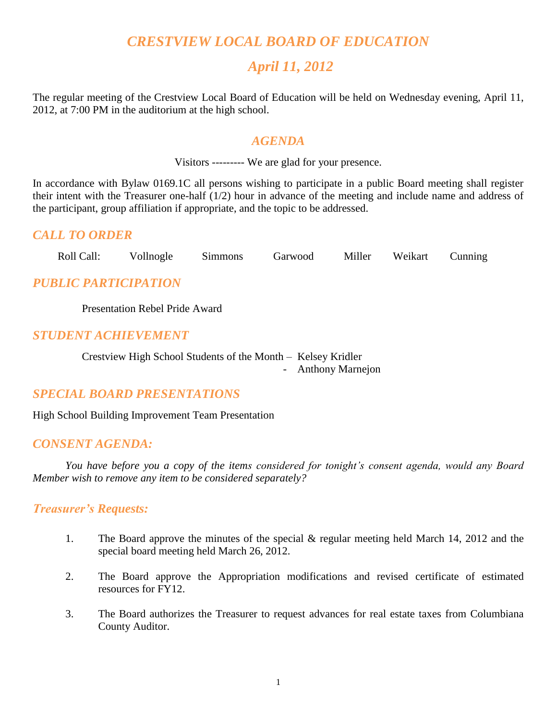# *CRESTVIEW LOCAL BOARD OF EDUCATION*

# *April 11, 2012*

The regular meeting of the Crestview Local Board of Education will be held on Wednesday evening, April 11, 2012, at 7:00 PM in the auditorium at the high school.

## *AGENDA*

Visitors --------- We are glad for your presence.

In accordance with Bylaw 0169.1C all persons wishing to participate in a public Board meeting shall register their intent with the Treasurer one-half (1/2) hour in advance of the meeting and include name and address of the participant, group affiliation if appropriate, and the topic to be addressed.

## *CALL TO ORDER*

Roll Call: Vollnogle Simmons Garwood Miller Weikart Cunning

## *PUBLIC PARTICIPATION*

Presentation Rebel Pride Award

## *STUDENT ACHIEVEMENT*

Crestview High School Students of the Month – Kelsey Kridler - Anthony Marnejon

## *SPECIAL BOARD PRESENTATIONS*

High School Building Improvement Team Presentation

## *CONSENT AGENDA:*

*You have before you a copy of the items considered for tonight's consent agenda, would any Board Member wish to remove any item to be considered separately?*

## *Treasurer's Requests:*

- 1. The Board approve the minutes of the special & regular meeting held March 14, 2012 and the special board meeting held March 26, 2012.
- 2. The Board approve the Appropriation modifications and revised certificate of estimated resources for FY12.
- 3. The Board authorizes the Treasurer to request advances for real estate taxes from Columbiana County Auditor.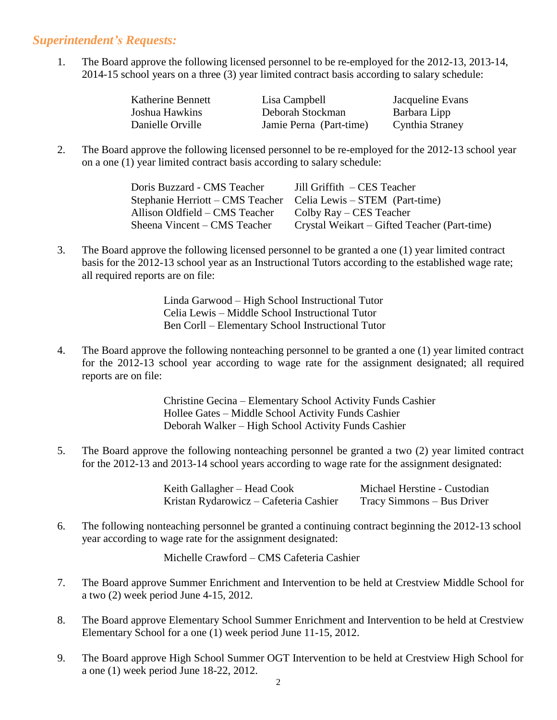## *Superintendent's Requests:*

1. The Board approve the following licensed personnel to be re-employed for the 2012-13, 2013-14, 2014-15 school years on a three (3) year limited contract basis according to salary schedule:

| Katherine Bennett | Lisa Campbell           | Jacqueline Evans |
|-------------------|-------------------------|------------------|
| Joshua Hawkins    | Deborah Stockman        | Barbara Lipp     |
| Danielle Orville  | Jamie Perna (Part-time) | Cynthia Straney  |

2. The Board approve the following licensed personnel to be re-employed for the 2012-13 school year on a one (1) year limited contract basis according to salary schedule:

| Doris Buzzard - CMS Teacher                                     | Jill Griffith – CES Teacher                  |
|-----------------------------------------------------------------|----------------------------------------------|
| Stephanie Herriott – CMS Teacher Celia Lewis – STEM (Part-time) |                                              |
| Allison Oldfield – CMS Teacher                                  | Colby Ray – CES Teacher                      |
| Sheena Vincent – CMS Teacher                                    | Crystal Weikart – Gifted Teacher (Part-time) |

3. The Board approve the following licensed personnel to be granted a one (1) year limited contract basis for the 2012-13 school year as an Instructional Tutors according to the established wage rate; all required reports are on file:

> Linda Garwood – High School Instructional Tutor Celia Lewis – Middle School Instructional Tutor Ben Corll – Elementary School Instructional Tutor

4. The Board approve the following nonteaching personnel to be granted a one (1) year limited contract for the 2012-13 school year according to wage rate for the assignment designated; all required reports are on file:

> Christine Gecina – Elementary School Activity Funds Cashier Hollee Gates – Middle School Activity Funds Cashier Deborah Walker – High School Activity Funds Cashier

5. The Board approve the following nonteaching personnel be granted a two (2) year limited contract for the 2012-13 and 2013-14 school years according to wage rate for the assignment designated:

| Keith Gallagher – Head Cook            | Michael Herstine - Custodian |
|----------------------------------------|------------------------------|
| Kristan Rydarowicz – Cafeteria Cashier | Tracy Simmons – Bus Driver   |

6. The following nonteaching personnel be granted a continuing contract beginning the 2012-13 school year according to wage rate for the assignment designated:

Michelle Crawford – CMS Cafeteria Cashier

- 7. The Board approve Summer Enrichment and Intervention to be held at Crestview Middle School for a two (2) week period June 4-15, 2012.
- 8. The Board approve Elementary School Summer Enrichment and Intervention to be held at Crestview Elementary School for a one (1) week period June 11-15, 2012.
- 9. The Board approve High School Summer OGT Intervention to be held at Crestview High School for a one (1) week period June 18-22, 2012.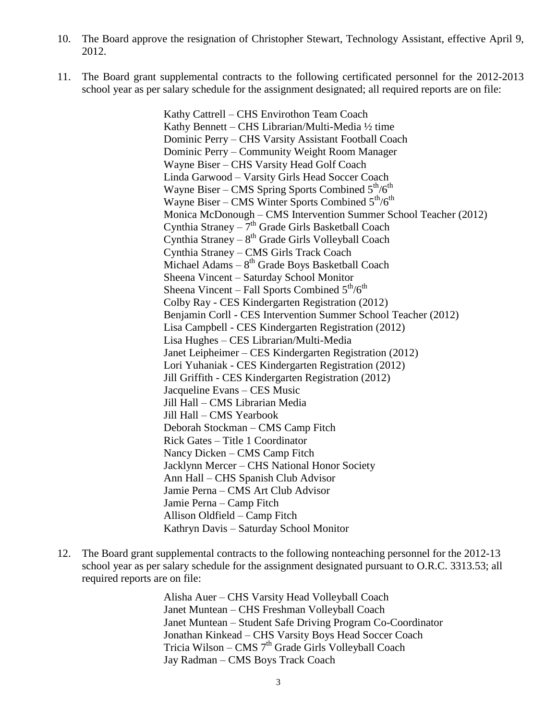- 10. The Board approve the resignation of Christopher Stewart, Technology Assistant, effective April 9, 2012.
- 11. The Board grant supplemental contracts to the following certificated personnel for the 2012-2013 school year as per salary schedule for the assignment designated; all required reports are on file:

Kathy Cattrell – CHS Envirothon Team Coach Kathy Bennett – CHS Librarian/Multi-Media ½ time Dominic Perry – CHS Varsity Assistant Football Coach Dominic Perry – Community Weight Room Manager Wayne Biser – CHS Varsity Head Golf Coach Linda Garwood – Varsity Girls Head Soccer Coach Wayne Biser – CMS Spring Sports Combined  $5<sup>th</sup>/6<sup>th</sup>$ Wayne Biser – CMS Winter Sports Combined  $5<sup>th</sup>/6<sup>th</sup>$ Monica McDonough – CMS Intervention Summer School Teacher (2012) Cynthia Straney  $-7<sup>th</sup>$  Grade Girls Basketball Coach Cynthia Straney  $-8^{th}$  Grade Girls Volleyball Coach Cynthia Straney – CMS Girls Track Coach Michael Adams - 8<sup>th</sup> Grade Boys Basketball Coach Sheena Vincent – Saturday School Monitor Sheena Vincent – Fall Sports Combined  $5^{th}/6^{th}$ Colby Ray - CES Kindergarten Registration (2012) Benjamin Corll - CES Intervention Summer School Teacher (2012) Lisa Campbell - CES Kindergarten Registration (2012) Lisa Hughes – CES Librarian/Multi-Media Janet Leipheimer – CES Kindergarten Registration (2012) Lori Yuhaniak - CES Kindergarten Registration (2012) Jill Griffith - CES Kindergarten Registration (2012) Jacqueline Evans – CES Music Jill Hall – CMS Librarian Media Jill Hall – CMS Yearbook Deborah Stockman – CMS Camp Fitch Rick Gates – Title 1 Coordinator Nancy Dicken – CMS Camp Fitch Jacklynn Mercer – CHS National Honor Society Ann Hall – CHS Spanish Club Advisor Jamie Perna – CMS Art Club Advisor Jamie Perna – Camp Fitch Allison Oldfield – Camp Fitch Kathryn Davis – Saturday School Monitor

12. The Board grant supplemental contracts to the following nonteaching personnel for the 2012-13 school year as per salary schedule for the assignment designated pursuant to O.R.C. 3313.53; all required reports are on file:

> Alisha Auer – CHS Varsity Head Volleyball Coach Janet Muntean – CHS Freshman Volleyball Coach Janet Muntean – Student Safe Driving Program Co-Coordinator Jonathan Kinkead – CHS Varsity Boys Head Soccer Coach Tricia Wilson – CMS  $7<sup>th</sup>$  Grade Girls Volleyball Coach Jay Radman – CMS Boys Track Coach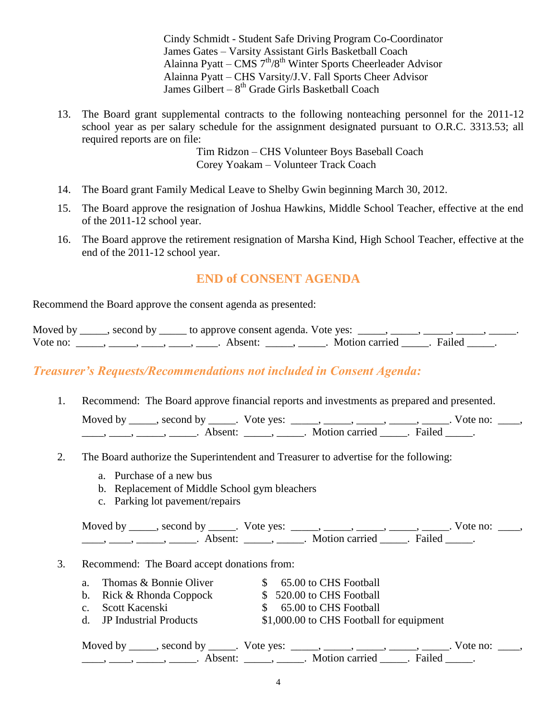Cindy Schmidt - Student Safe Driving Program Co-Coordinator James Gates – Varsity Assistant Girls Basketball Coach Alainna Pyatt – CMS  $7<sup>th</sup>/8<sup>th</sup>$  Winter Sports Cheerleader Advisor Alainna Pyatt – CHS Varsity/J.V. Fall Sports Cheer Advisor James Gilbert – 8<sup>th</sup> Grade Girls Basketball Coach

13. The Board grant supplemental contracts to the following nonteaching personnel for the 2011-12 school year as per salary schedule for the assignment designated pursuant to O.R.C. 3313.53; all required reports are on file:

> Tim Ridzon – CHS Volunteer Boys Baseball Coach Corey Yoakam – Volunteer Track Coach

- 14. The Board grant Family Medical Leave to Shelby Gwin beginning March 30, 2012.
- 15. The Board approve the resignation of Joshua Hawkins, Middle School Teacher, effective at the end of the 2011-12 school year.
- 16. The Board approve the retirement resignation of Marsha Kind, High School Teacher, effective at the end of the 2011-12 school year.

## **END of CONSENT AGENDA**

Recommend the Board approve the consent agenda as presented:

|          |                                                                                                                 | Moved by _____, second by _____ to approve consent agenda. Vote yes: $\_\_\_\_\_$ , $\_\_\_\_\_\_$ , $\_\_\_\_\_$ , $\_\_\_\_\_$ , $\_\_\_\_\_$ |                       |  |
|----------|-----------------------------------------------------------------------------------------------------------------|-------------------------------------------------------------------------------------------------------------------------------------------------|-----------------------|--|
| Vote no: | the contract of the contract of the contract of the contract of the contract of the contract of the contract of | Absent:                                                                                                                                         | Motion carried Failed |  |

## *Treasurer's Requests/Recommendations not included in Consent Agenda:*

1. Recommend: The Board approve financial reports and investments as prepared and presented.

Moved by \_\_\_\_\_, second by \_\_\_\_\_. Vote yes: \_\_\_\_\_, \_\_\_\_\_, \_\_\_\_\_, \_\_\_\_\_, \_\_\_\_\_. Vote no: \_\_\_\_,  $\underline{\hspace{1cm}}$ ,  $\underline{\hspace{1cm}}$ ,  $\underline{\hspace{1cm}}$ ,  $\underline{\hspace{1cm}}$  Absent:  $\underline{\hspace{1cm}}$ ,  $\underline{\hspace{1cm}}$ . Motion carried  $\underline{\hspace{1cm}}$ . Failed  $\underline{\hspace{1cm}}$ .

- 2. The Board authorize the Superintendent and Treasurer to advertise for the following:
	- a. Purchase of a new bus
	- b. Replacement of Middle School gym bleachers
	- c. Parking lot pavement/repairs

Moved by \_\_\_\_\_, second by \_\_\_\_\_. Vote yes:  $\_\_\_\_\_\_\_\_\_\_\_\_\_\_\_$  \_\_\_\_\_, \_\_\_\_\_, \_\_\_\_\_. Vote no:  $\_\_\_\_\_\$ \_\_\_\_, \_\_\_\_\_, \_\_\_\_\_\_, Absent: \_\_\_\_\_, \_\_\_\_\_. Motion carried \_\_\_\_\_. Failed \_\_\_\_\_.

#### 3. Recommend: The Board accept donations from:

- a. Thomas & Bonnie Oliver  $\qquad \qquad$  \$ 65.00 to CHS Football
- b. Rick & Rhonda Coppock  $$ 520.00$  to CHS Football
- c. Scott Kacenski  $$ 65.00 \text{ to } CHS$  Football
- 
- 
- 
- 
- d. JP Industrial Products \$1,000.00 to CHS Football for equipment

| Moved by ______, second by ______. Vote yes: |                     |                    | vote no: |
|----------------------------------------------|---------------------|--------------------|----------|
| Absent <sup>.</sup>                          | Motion carried [15] | Faile <sup>J</sup> |          |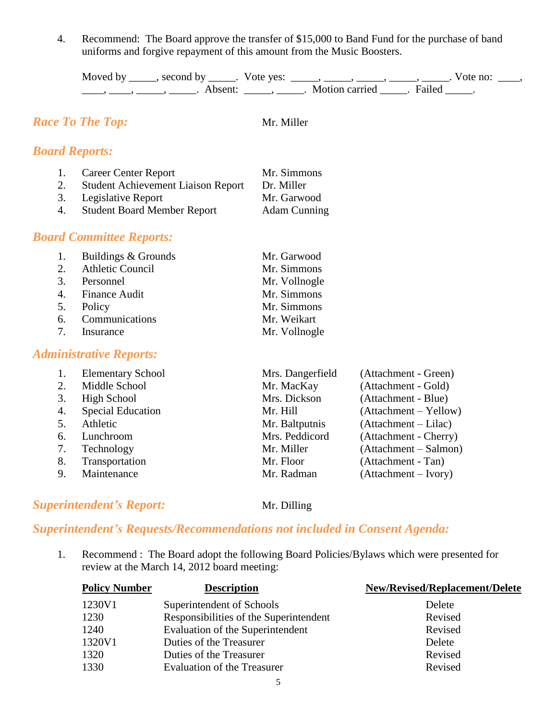4. Recommend: The Board approve the transfer of \$15,000 to Band Fund for the purchase of band uniforms and forgive repayment of this amount from the Music Boosters.

| Moved by | second by           | Vote yes: |                |        | Vote no: |
|----------|---------------------|-----------|----------------|--------|----------|
|          | Absent <sup>.</sup> |           | Motion carried | Failed |          |

# *Race To The Top:* Mr. Miller

## *Board Reports:*

| 1. | <b>Career Center Report</b>               | Mr. Simmons         |
|----|-------------------------------------------|---------------------|
| 2. | <b>Student Achievement Liaison Report</b> | Dr. Miller          |
| 3. | Legislative Report                        | Mr. Garwood         |
| 4. | <b>Student Board Member Report</b>        | <b>Adam Cunning</b> |

## *Board Committee Reports:*

| 1. Buildings & Grounds | Mr. Garwood   |
|------------------------|---------------|
| 2. Athletic Council    | Mr. Simmons   |
| 3. Personnel           | Mr. Vollnogle |
| 4. Finance Audit       | Mr. Simmons   |
| 5. Policy              | Mr. Simmons   |
| 6. Communications      | Mr. Weikart   |
| 7. Insurance           | Mr. Vollnogle |

## *Administrative Reports:*

|    | <b>Elementary School</b> | Mrs. Dangerfield | (Attachment - Green)    |
|----|--------------------------|------------------|-------------------------|
| 2. | Middle School            | Mr. MacKay       | (Attachment - Gold)     |
| 3. | High School              | Mrs. Dickson     | (Attachment - Blue)     |
| 4. | <b>Special Education</b> | Mr. Hill         | $(Attachment - Yellow)$ |
|    | Athletic                 | Mr. Baltputnis   | (Attachment – Lilac)    |
| 6. | Lunchroom                | Mrs. Peddicord   | (Attachment - Cherry)   |
| 7. | Technology               | Mr. Miller       | (Attachment – Salmon)   |
| 8. | Transportation           | Mr. Floor        | (Attachment - Tan)      |
| 9. | Maintenance              | Mr. Radman       | $(Attachment - Ivory)$  |
|    |                          |                  |                         |

## **Superintendent's Report:** Mr. Dilling

# *Superintendent's Requests/Recommendations not included in Consent Agenda:*

1. Recommend : The Board adopt the following Board Policies/Bylaws which were presented for review at the March 14, 2012 board meeting:

| <b>Description</b>                     | <b>New/Revised/Replacement/Delete</b> |
|----------------------------------------|---------------------------------------|
| Superintendent of Schools              | Delete                                |
| Responsibilities of the Superintendent | Revised                               |
| Evaluation of the Superintendent       | Revised                               |
| Duties of the Treasurer                | Delete                                |
| Duties of the Treasurer                | Revised                               |
| <b>Evaluation of the Treasurer</b>     | Revised                               |
|                                        |                                       |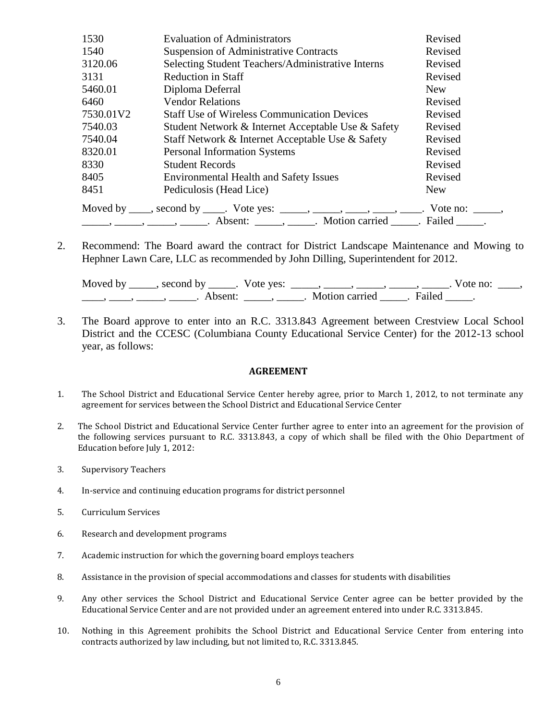| 1530      | <b>Evaluation of Administrators</b>                                                       | Revised    |
|-----------|-------------------------------------------------------------------------------------------|------------|
| 1540      | <b>Suspension of Administrative Contracts</b>                                             | Revised    |
| 3120.06   | Selecting Student Teachers/Administrative Interns                                         | Revised    |
| 3131      | Reduction in Staff                                                                        | Revised    |
| 5460.01   | Diploma Deferral                                                                          | <b>New</b> |
| 6460      | <b>Vendor Relations</b>                                                                   | Revised    |
| 7530.01V2 | <b>Staff Use of Wireless Communication Devices</b>                                        | Revised    |
| 7540.03   | Student Network & Internet Acceptable Use & Safety                                        | Revised    |
| 7540.04   | Staff Network & Internet Acceptable Use & Safety                                          | Revised    |
| 8320.01   | <b>Personal Information Systems</b>                                                       | Revised    |
| 8330      | <b>Student Records</b>                                                                    | Revised    |
| 8405      | <b>Environmental Health and Safety Issues</b>                                             | Revised    |
| 8451      | Pediculosis (Head Lice)                                                                   | <b>New</b> |
|           | Moved by ____, second by _____. Vote yes: _____, _____, ____, ____, ____. Vote no: _____, |            |

2. Recommend: The Board award the contract for District Landscape Maintenance and Mowing to Hephner Lawn Care, LLC as recommended by John Dilling, Superintendent for 2012.

| Moved by | second by | Vote yes: |                |               | vote no: |
|----------|-----------|-----------|----------------|---------------|----------|
|          | Absent    |           | Motion carried | <b>Failed</b> |          |

3. The Board approve to enter into an R.C. 3313.843 Agreement between Crestview Local School District and the CCESC (Columbiana County Educational Service Center) for the 2012-13 school year, as follows:

#### **AGREEMENT**

- 1. The School District and Educational Service Center hereby agree, prior to March 1, 2012, to not terminate any agreement for services between the School District and Educational Service Center
- 2. The School District and Educational Service Center further agree to enter into an agreement for the provision of the following services pursuant to R.C. 3313.843, a copy of which shall be filed with the Ohio Department of Education before July 1, 2012:
- 3. Supervisory Teachers
- 4. In-service and continuing education programs for district personnel
- 5. Curriculum Services
- 6. Research and development programs
- 7. Academic instruction for which the governing board employs teachers
- 8. Assistance in the provision of special accommodations and classes for students with disabilities
- 9. Any other services the School District and Educational Service Center agree can be better provided by the Educational Service Center and are not provided under an agreement entered into under R.C. 3313.845.
- 10. Nothing in this Agreement prohibits the School District and Educational Service Center from entering into contracts authorized by law including, but not limited to, R.C. 3313.845.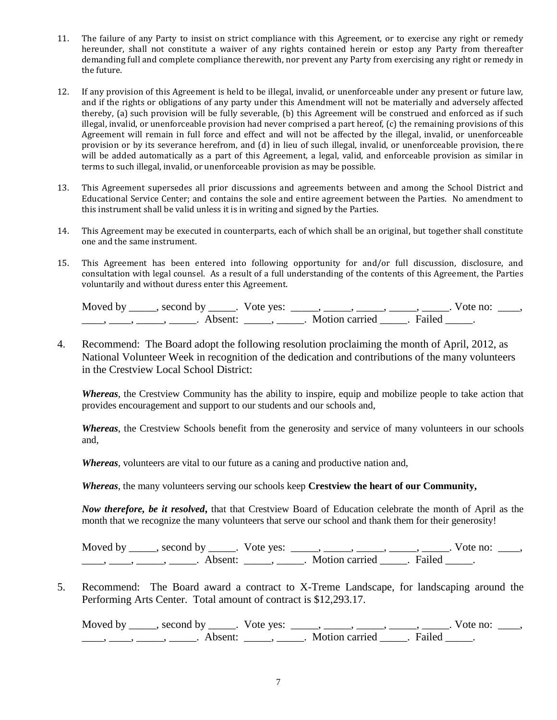- 11. The failure of any Party to insist on strict compliance with this Agreement, or to exercise any right or remedy hereunder, shall not constitute a waiver of any rights contained herein or estop any Party from thereafter demanding full and complete compliance therewith, nor prevent any Party from exercising any right or remedy in the future.
- 12. If any provision of this Agreement is held to be illegal, invalid, or unenforceable under any present or future law, and if the rights or obligations of any party under this Amendment will not be materially and adversely affected thereby, (a) such provision will be fully severable, (b) this Agreement will be construed and enforced as if such illegal, invalid, or unenforceable provision had never comprised a part hereof, (c) the remaining provisions of this Agreement will remain in full force and effect and will not be affected by the illegal, invalid, or unenforceable provision or by its severance herefrom, and (d) in lieu of such illegal, invalid, or unenforceable provision, there will be added automatically as a part of this Agreement, a legal, valid, and enforceable provision as similar in terms to such illegal, invalid, or unenforceable provision as may be possible.
- 13. This Agreement supersedes all prior discussions and agreements between and among the School District and Educational Service Center; and contains the sole and entire agreement between the Parties. No amendment to this instrument shall be valid unless it is in writing and signed by the Parties.
- 14. This Agreement may be executed in counterparts, each of which shall be an original, but together shall constitute one and the same instrument.
- 15. This Agreement has been entered into following opportunity for and/or full discussion, disclosure, and consultation with legal counsel. As a result of a full understanding of the contents of this Agreement, the Parties voluntarily and without duress enter this Agreement.

| Moved by second by |                     | Vote yes: |                     | $\sqrt{\circ}$ te no: |  |
|--------------------|---------------------|-----------|---------------------|-----------------------|--|
|                    | Absent <sup>.</sup> |           | Failec <sup>1</sup> |                       |  |

4. Recommend: The Board adopt the following resolution proclaiming the month of April, 2012, as National Volunteer Week in recognition of the dedication and contributions of the many volunteers in the Crestview Local School District:

*Whereas*, the Crestview Community has the ability to inspire, equip and mobilize people to take action that provides encouragement and support to our students and our schools and,

*Whereas*, the Crestview Schools benefit from the generosity and service of many volunteers in our schools and,

*Whereas*, volunteers are vital to our future as a caning and productive nation and,

*Whereas*, the many volunteers serving our schools keep **Crestview the heart of our Community,**

*Now therefore, be it resolved***,** that that Crestview Board of Education celebrate the month of April as the month that we recognize the many volunteers that serve our school and thank them for their generosity!

Moved by \_\_\_\_\_, second by \_\_\_\_\_. Vote yes:  $\frac{1}{\sqrt{2}}$ , \_\_\_\_, \_\_\_\_, \_\_\_\_, \_\_\_\_. Vote no: \_\_\_, \_\_\_\_\_, \_\_\_\_\_\_, \_\_\_\_\_\_\_. Absent: \_\_\_\_\_\_, \_\_\_\_\_\_. Motion carried \_\_\_\_\_\_. Failed \_\_\_\_\_.

5. Recommend: The Board award a contract to X-Treme Landscape, for landscaping around the Performing Arts Center. Total amount of contract is \$12,293.17.

Moved by \_\_\_\_\_, second by \_\_\_\_\_. Vote yes: \_\_\_\_\_, \_\_\_\_\_, \_\_\_\_\_, \_\_\_\_\_, \_\_\_\_\_. Vote no: \_\_\_\_,  $\underline{\phantom{a}}$ ,  $\underline{\phantom{a}}$ ,  $\underline{\phantom{a}}$ ,  $\underline{\phantom{a}}$ ,  $\underline{\phantom{a}}$  Absent:  $\underline{\phantom{a}}$ ,  $\underline{\phantom{a}}$ ,  $\underline{\phantom{a}}$  Motion carried  $\underline{\phantom{a}}$ . Failed  $\underline{\phantom{a}}$ .